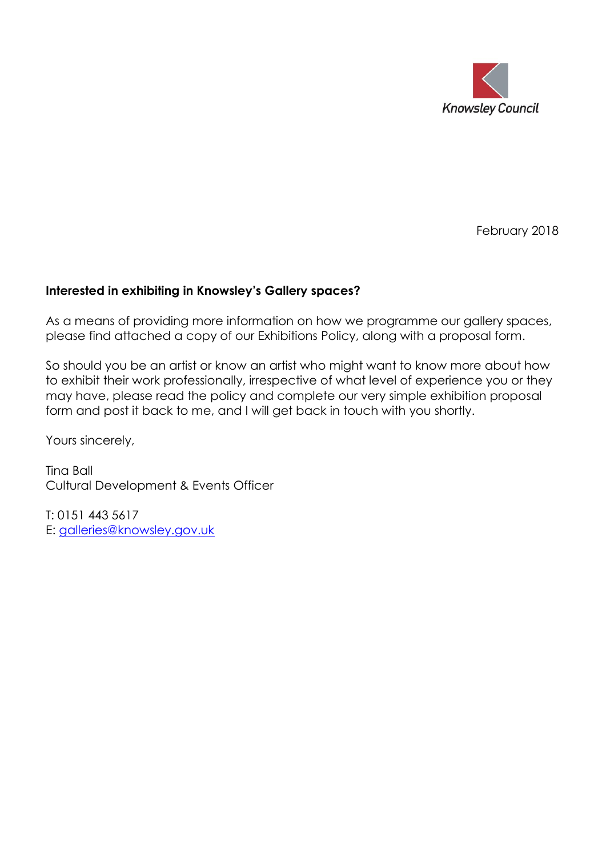

February 2018

#### **Interested in exhibiting in Knowsley's Gallery spaces?**

As a means of providing more information on how we programme our gallery spaces, please find attached a copy of our Exhibitions Policy, along with a proposal form.

So should you be an artist or know an artist who might want to know more about how to exhibit their work professionally, irrespective of what level of experience you or they may have, please read the policy and complete our very simple exhibition proposal form and post it back to me, and I will get back in touch with you shortly.

Yours sincerely,

Tina Ball Cultural Development & Events Officer

T: 0151 443 5617 E: [galleries@knowsley.gov.uk](mailto:galleries@knowsley.gov.uk)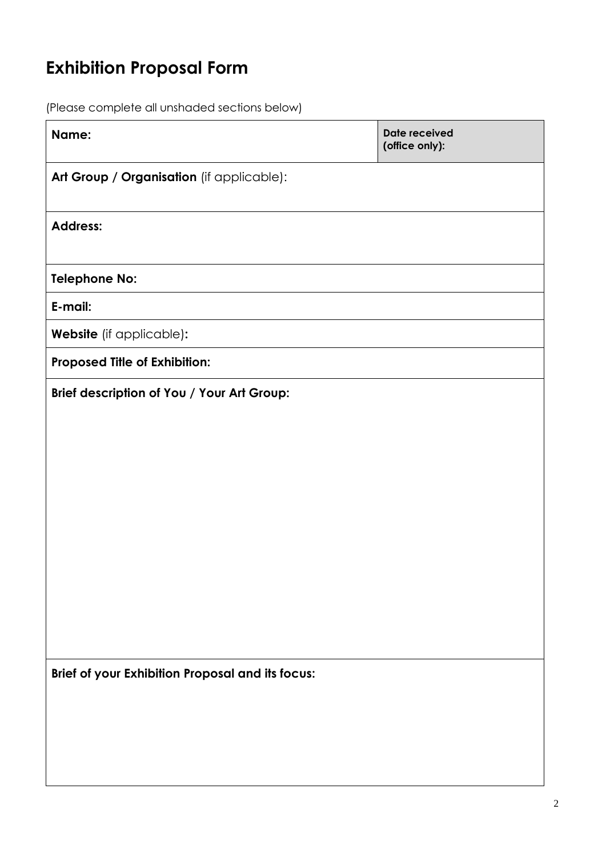### **Exhibition Proposal Form**

(Please complete all unshaded sections below)

| Name:                                            | <b>Date received</b><br>(office only): |
|--------------------------------------------------|----------------------------------------|
| Art Group / Organisation (if applicable):        |                                        |
| <b>Address:</b>                                  |                                        |
| <b>Telephone No:</b>                             |                                        |
| E-mail:                                          |                                        |
| Website (if applicable):                         |                                        |
| Proposed Title of Exhibition:                    |                                        |
| Brief description of You / Your Art Group:       |                                        |
| Brief of your Exhibition Proposal and its focus: |                                        |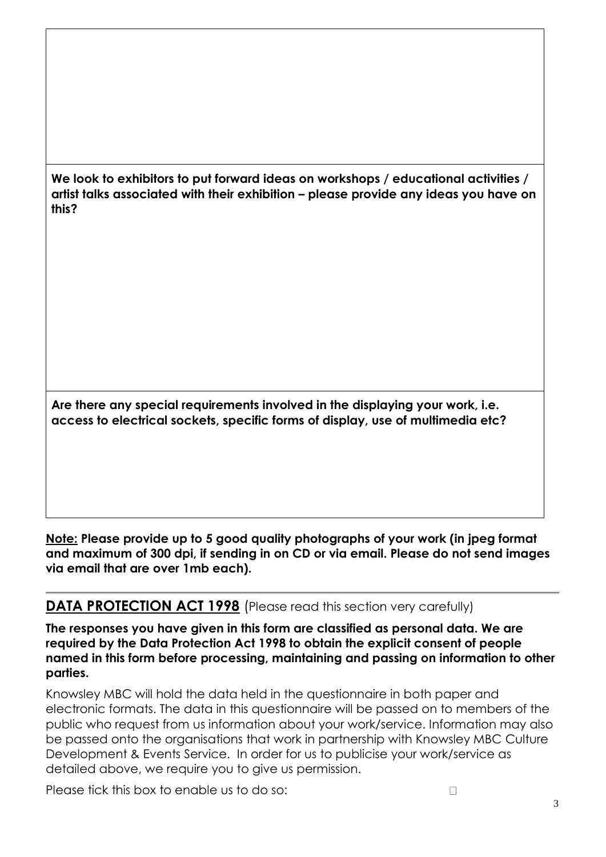**We look to exhibitors to put forward ideas on workshops / educational activities / artist talks associated with their exhibition – please provide any ideas you have on this?**

**Are there any special requirements involved in the displaying your work, i.e. access to electrical sockets, specific forms of display, use of multimedia etc?**

**Note: Please provide up to 5 good quality photographs of your work (in jpeg format and maximum of 300 dpi, if sending in on CD or via email. Please do not send images via email that are over 1mb each).**

#### **DATA PROTECTION ACT 1998** (Please read this section very carefully)

**The responses you have given in this form are classified as personal data. We are required by the Data Protection Act 1998 to obtain the explicit consent of people named in this form before processing, maintaining and passing on information to other parties.**

Knowsley MBC will hold the data held in the questionnaire in both paper and electronic formats. The data in this questionnaire will be passed on to members of the public who request from us information about your work/service. Information may also be passed onto the organisations that work in partnership with Knowsley MBC Culture Development & Events Service. In order for us to publicise your work/service as detailed above, we require you to give us permission.

Please tick this box to enable us to do so: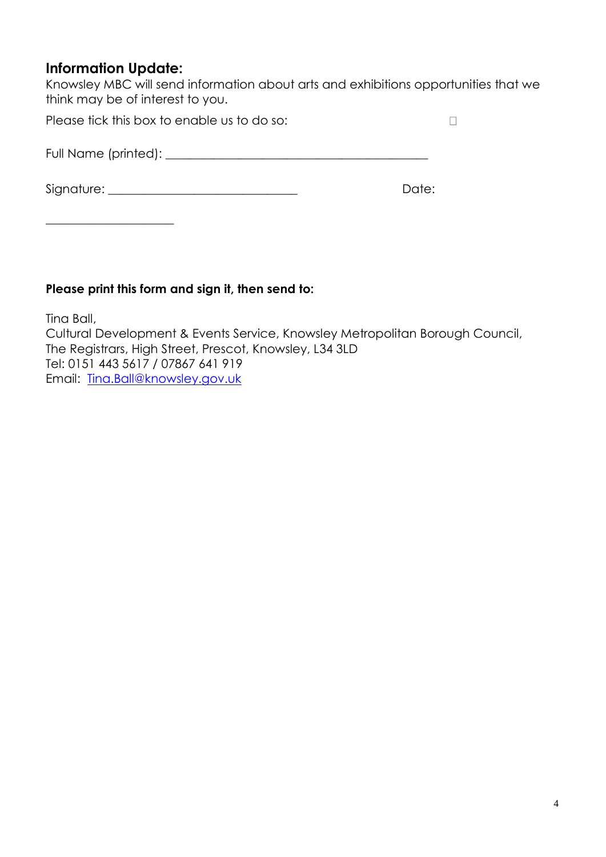#### **Information Update:**

\_\_\_\_\_\_\_\_\_\_\_\_\_\_\_\_\_\_\_\_\_

Knowsley MBC will send information about arts and exhibitions opportunities that we think may be of interest to you.

 $\Box$ 

Please tick this box to enable us to do so:

Full Name (printed): \_\_\_\_\_\_\_\_\_\_\_\_\_\_\_\_\_\_\_\_\_\_\_\_\_\_\_\_\_\_\_\_\_\_\_\_\_\_\_\_\_\_\_

Signature: \_\_\_\_\_\_\_\_\_\_\_\_\_\_\_\_\_\_\_\_\_\_\_\_\_\_\_\_\_\_\_ Date:

#### **Please print this form and sign it, then send to:**

Tina Ball, Cultural Development & Events Service, Knowsley Metropolitan Borough Council, The Registrars, High Street, Prescot, Knowsley, L34 3LD Tel: 0151 443 5617 / 07867 641 919 Email: [Tina.Ball@knowsley.gov.uk](mailto:arts.galleries@knowsley.gov.uk)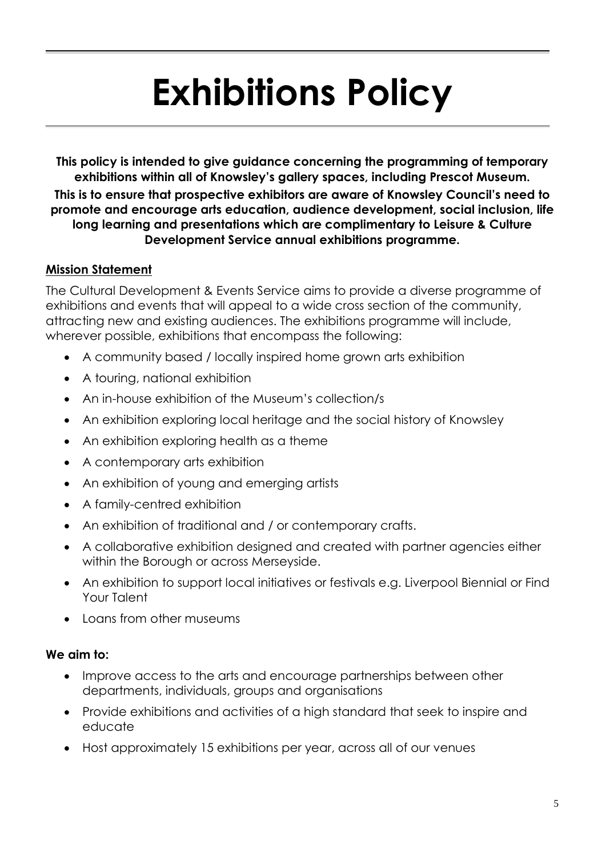# **Exhibitions Policy**

**This policy is intended to give guidance concerning the programming of temporary exhibitions within all of Knowsley's gallery spaces, including Prescot Museum. This is to ensure that prospective exhibitors are aware of Knowsley Council's need to promote and encourage arts education, audience development, social inclusion, life long learning and presentations which are complimentary to Leisure & Culture Development Service annual exhibitions programme.**

#### **Mission Statement**

The Cultural Development & Events Service aims to provide a diverse programme of exhibitions and events that will appeal to a wide cross section of the community, attracting new and existing audiences. The exhibitions programme will include, wherever possible, exhibitions that encompass the following:

- A community based / locally inspired home grown arts exhibition
- A touring, national exhibition
- An in-house exhibition of the Museum's collection/s
- An exhibition exploring local heritage and the social history of Knowsley
- An exhibition exploring health as a theme
- A contemporary arts exhibition
- An exhibition of young and emerging artists
- A family-centred exhibition
- An exhibition of traditional and / or contemporary crafts.
- A collaborative exhibition designed and created with partner agencies either within the Borough or across Merseyside.
- An exhibition to support local initiatives or festivals e.g. Liverpool Biennial or Find Your Talent
- Loans from other museums

#### **We aim to:**

- Improve access to the arts and encourage partnerships between other departments, individuals, groups and organisations
- Provide exhibitions and activities of a high standard that seek to inspire and educate
- Host approximately 15 exhibitions per year, across all of our venues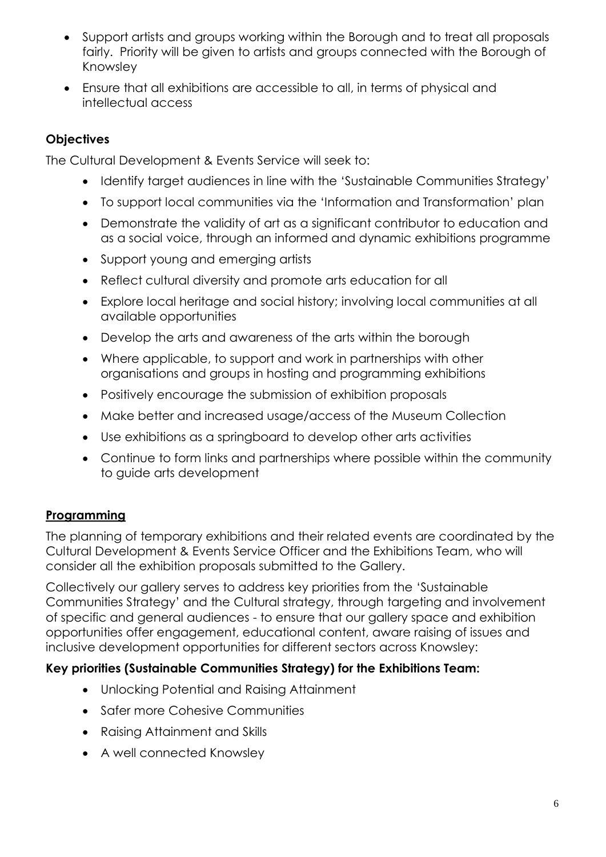- Support artists and groups working within the Borough and to treat all proposals fairly. Priority will be given to artists and groups connected with the Borough of Knowsley
- Ensure that all exhibitions are accessible to all, in terms of physical and intellectual access

#### **Objectives**

The Cultural Development & Events Service will seek to:

- Identify target audiences in line with the 'Sustainable Communities Strategy'
- To support local communities via the 'Information and Transformation' plan
- Demonstrate the validity of art as a significant contributor to education and as a social voice, through an informed and dynamic exhibitions programme
- Support young and emerging artists
- Reflect cultural diversity and promote arts education for all
- Explore local heritage and social history; involving local communities at all available opportunities
- Develop the arts and awareness of the arts within the borough
- Where applicable, to support and work in partnerships with other organisations and groups in hosting and programming exhibitions
- Positively encourage the submission of exhibition proposals
- Make better and increased usage/access of the Museum Collection
- Use exhibitions as a springboard to develop other arts activities
- Continue to form links and partnerships where possible within the community to guide arts development

#### **Programming**

The planning of temporary exhibitions and their related events are coordinated by the Cultural Development & Events Service Officer and the Exhibitions Team, who will consider all the exhibition proposals submitted to the Gallery.

Collectively our gallery serves to address key priorities from the 'Sustainable Communities Strategy' and the Cultural strategy, through targeting and involvement of specific and general audiences - to ensure that our gallery space and exhibition opportunities offer engagement, educational content, aware raising of issues and inclusive development opportunities for different sectors across Knowsley:

#### **Key priorities (Sustainable Communities Strategy) for the Exhibitions Team:**

- Unlocking Potential and Raising Attainment
- Safer more Cohesive Communities
- Raising Attainment and Skills
- A well connected Knowsley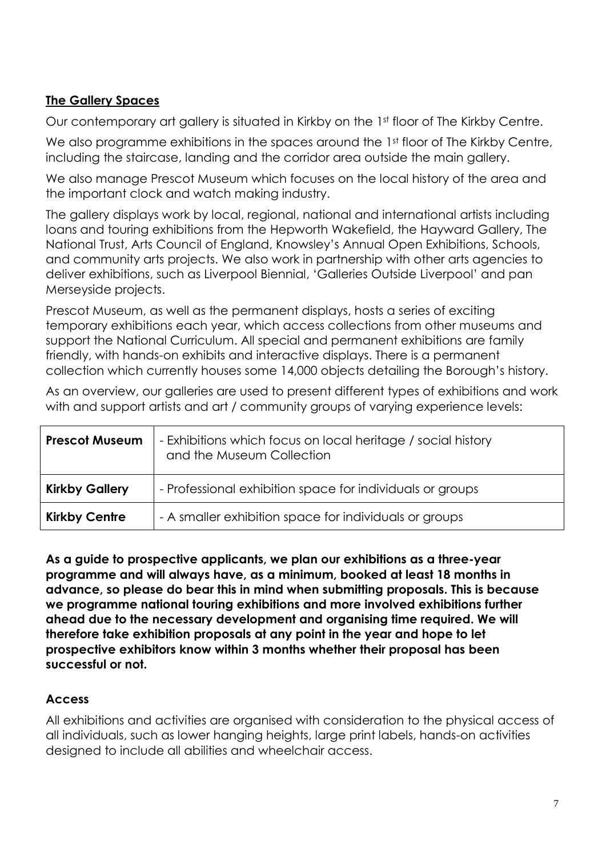#### **The Gallery Spaces**

Our contemporary art gallery is situated in Kirkby on the 1st floor of The Kirkby Centre.

We also programme exhibitions in the spaces around the 1st floor of The Kirkby Centre, including the staircase, landing and the corridor area outside the main gallery.

We also manage Prescot Museum which focuses on the local history of the area and the important clock and watch making industry.

The gallery displays work by local, regional, national and international artists including loans and touring exhibitions from the Hepworth Wakefield, the Hayward Gallery, The National Trust, Arts Council of England, Knowsley's Annual Open Exhibitions, Schools, and community arts projects. We also work in partnership with other arts agencies to deliver exhibitions, such as Liverpool Biennial, 'Galleries Outside Liverpool' and pan Merseyside projects.

Prescot Museum, as well as the permanent displays, hosts a series of exciting temporary exhibitions each year, which access collections from other museums and support the National Curriculum. All special and permanent exhibitions are family friendly, with hands-on exhibits and interactive displays. There is a permanent collection which currently houses some 14,000 objects detailing the Borough's history.

As an overview, our galleries are used to present different types of exhibitions and work with and support artists and art / community aroups of varying experience levels:

| <b>Prescot Museum</b> | - Exhibitions which focus on local heritage / social history<br>and the Museum Collection |
|-----------------------|-------------------------------------------------------------------------------------------|
| <b>Kirkby Gallery</b> | - Professional exhibition space for individuals or groups                                 |
| <b>Kirkby Centre</b>  | - A smaller exhibition space for individuals or groups                                    |

**As a guide to prospective applicants, we plan our exhibitions as a three-year programme and will always have, as a minimum, booked at least 18 months in advance, so please do bear this in mind when submitting proposals. This is because we programme national touring exhibitions and more involved exhibitions further ahead due to the necessary development and organising time required. We will therefore take exhibition proposals at any point in the year and hope to let prospective exhibitors know within 3 months whether their proposal has been successful or not.**

#### **Access**

All exhibitions and activities are organised with consideration to the physical access of all individuals, such as lower hanging heights, large print labels, hands-on activities designed to include all abilities and wheelchair access.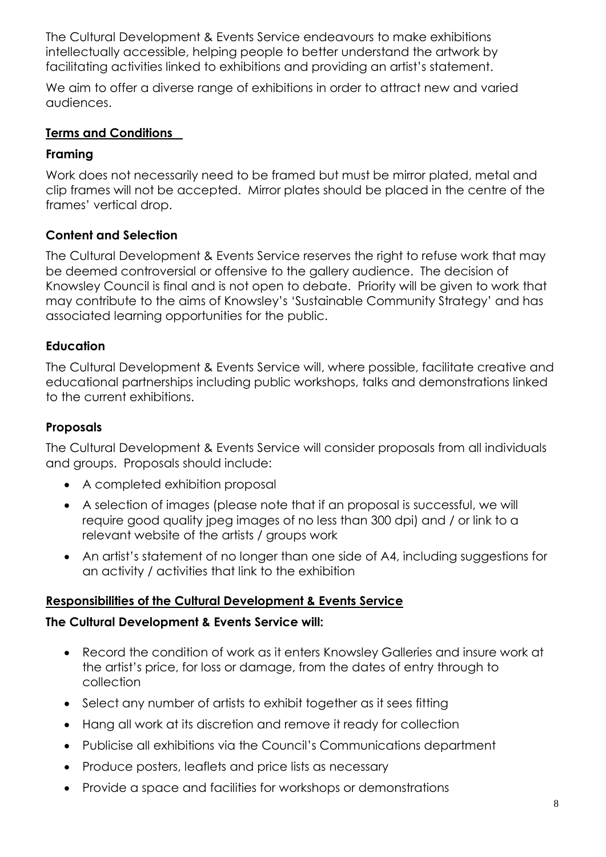The Cultural Development & Events Service endeavours to make exhibitions intellectually accessible, helping people to better understand the artwork by facilitating activities linked to exhibitions and providing an artist's statement.

We aim to offer a diverse range of exhibitions in order to attract new and varied audiences.

#### **Terms and Conditions**

#### **Framing**

Work does not necessarily need to be framed but must be mirror plated, metal and clip frames will not be accepted. Mirror plates should be placed in the centre of the frames' vertical drop.

#### **Content and Selection**

The Cultural Development & Events Service reserves the right to refuse work that may be deemed controversial or offensive to the gallery audience. The decision of Knowsley Council is final and is not open to debate. Priority will be given to work that may contribute to the aims of Knowsley's 'Sustainable Community Strategy' and has associated learning opportunities for the public.

#### **Education**

The Cultural Development & Events Service will, where possible, facilitate creative and educational partnerships including public workshops, talks and demonstrations linked to the current exhibitions.

#### **Proposals**

The Cultural Development & Events Service will consider proposals from all individuals and groups. Proposals should include:

- A completed exhibition proposal
- A selection of images (please note that if an proposal is successful, we will require good quality jpeg images of no less than 300 dpi) and / or link to a relevant website of the artists / groups work
- An artist's statement of no longer than one side of A4, including suggestions for an activity / activities that link to the exhibition

#### **Responsibilities of the Cultural Development & Events Service**

#### **The Cultural Development & Events Service will:**

- Record the condition of work as it enters Knowsley Galleries and insure work at the artist's price, for loss or damage, from the dates of entry through to collection
- Select any number of artists to exhibit together as it sees fitting
- Hang all work at its discretion and remove it ready for collection
- Publicise all exhibitions via the Council's Communications department
- Produce posters, leaflets and price lists as necessary
- Provide a space and facilities for workshops or demonstrations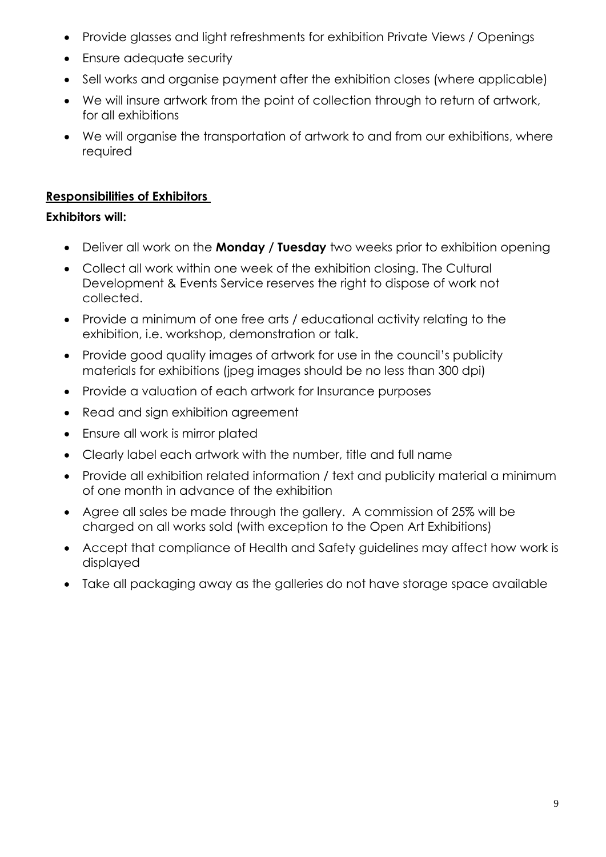- Provide glasses and light refreshments for exhibition Private Views / Openings
- Ensure adequate security
- Sell works and organise payment after the exhibition closes (where applicable)
- We will insure artwork from the point of collection through to return of artwork, for all exhibitions
- We will organise the transportation of artwork to and from our exhibitions, where required

#### **Responsibilities of Exhibitors**

#### **Exhibitors will:**

- Deliver all work on the **Monday / Tuesday** two weeks prior to exhibition opening
- Collect all work within one week of the exhibition closing. The Cultural Development & Events Service reserves the right to dispose of work not collected.
- Provide a minimum of one free arts / educational activity relating to the exhibition, i.e. workshop, demonstration or talk.
- Provide good quality images of artwork for use in the council's publicity materials for exhibitions (jpeg images should be no less than 300 dpi)
- Provide a valuation of each artwork for Insurance purposes
- Read and sign exhibition agreement
- Ensure all work is mirror plated
- Clearly label each artwork with the number, title and full name
- Provide all exhibition related information / text and publicity material a minimum of one month in advance of the exhibition
- Agree all sales be made through the gallery. A commission of 25% will be charged on all works sold (with exception to the Open Art Exhibitions)
- Accept that compliance of Health and Safety guidelines may affect how work is displayed
- Take all packaging away as the galleries do not have storage space available